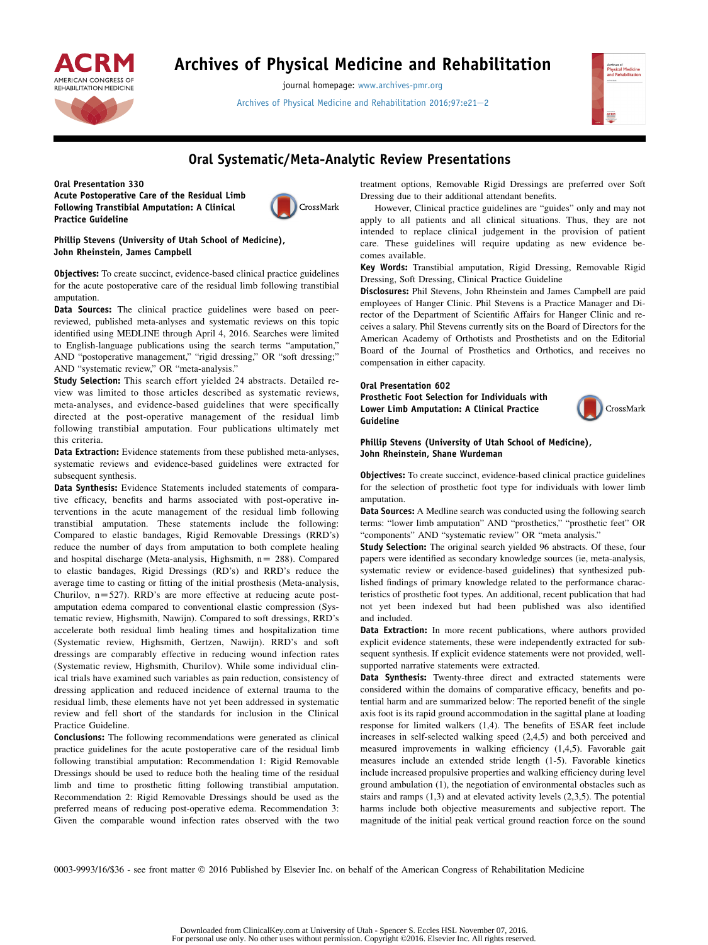

## Archives of Physical Medicine and Rehabilitation

journal homepage: [www.archives-pmr.org](http://www.archives-pmr.org)

[Archives of Physical Medicine and Rehabilitation 2016;97:e21](http://dx.doi.org/10.1016/j.apmr.2016.08.061)-[2](http://dx.doi.org/10.1016/j.apmr.2016.08.061)



## Oral Systematic/Meta-Analytic Review Presentations

Oral Presentation 330

Acute Postoperative Care of the Residual Limb Following Transtibial Amputation: A Clinical Practice Guideline



Phillip Stevens (University of Utah School of Medicine), John Rheinstein, James Campbell

Objectives: To create succinct, evidence-based clinical practice guidelines for the acute postoperative care of the residual limb following transtibial amputation.

Data Sources: The clinical practice guidelines were based on peerreviewed, published meta-anlyses and systematic reviews on this topic identified using MEDLINE through April 4, 2016. Searches were limited to English-language publications using the search terms "amputation," AND "postoperative management," "rigid dressing," OR "soft dressing;" AND "systematic review," OR "meta-analysis."

Study Selection: This search effort yielded 24 abstracts. Detailed review was limited to those articles described as systematic reviews, meta-analyses, and evidence-based guidelines that were specifically directed at the post-operative management of the residual limb following transtibial amputation. Four publications ultimately met this criteria.

Data Extraction: Evidence statements from these published meta-anlyses, systematic reviews and evidence-based guidelines were extracted for subsequent synthesis.

Data Synthesis: Evidence Statements included statements of comparative efficacy, benefits and harms associated with post-operative interventions in the acute management of the residual limb following transtibial amputation. These statements include the following: Compared to elastic bandages, Rigid Removable Dressings (RRD's) reduce the number of days from amputation to both complete healing and hospital discharge (Meta-analysis, Highsmith,  $n = 288$ ). Compared to elastic bandages, Rigid Dressings (RD's) and RRD's reduce the average time to casting or fitting of the initial prosthesis (Meta-analysis, Churilov,  $n=527$ ). RRD's are more effective at reducing acute postamputation edema compared to conventional elastic compression (Systematic review, Highsmith, Nawijn). Compared to soft dressings, RRD's accelerate both residual limb healing times and hospitalization time (Systematic review, Highsmith, Gertzen, Nawijn). RRD's and soft dressings are comparably effective in reducing wound infection rates (Systematic review, Highsmith, Churilov). While some individual clinical trials have examined such variables as pain reduction, consistency of dressing application and reduced incidence of external trauma to the residual limb, these elements have not yet been addressed in systematic review and fell short of the standards for inclusion in the Clinical Practice Guideline.

Conclusions: The following recommendations were generated as clinical practice guidelines for the acute postoperative care of the residual limb following transtibial amputation: Recommendation 1: Rigid Removable Dressings should be used to reduce both the healing time of the residual limb and time to prosthetic fitting following transtibial amputation. Recommendation 2: Rigid Removable Dressings should be used as the preferred means of reducing post-operative edema. Recommendation 3: Given the comparable wound infection rates observed with the two treatment options, Removable Rigid Dressings are preferred over Soft Dressing due to their additional attendant benefits.

However, Clinical practice guidelines are "guides" only and may not apply to all patients and all clinical situations. Thus, they are not intended to replace clinical judgement in the provision of patient care. These guidelines will require updating as new evidence becomes available.

Key Words: Transtibial amputation, Rigid Dressing, Removable Rigid Dressing, Soft Dressing, Clinical Practice Guideline

Disclosures: Phil Stevens, John Rheinstein and James Campbell are paid employees of Hanger Clinic. Phil Stevens is a Practice Manager and Director of the Department of Scientific Affairs for Hanger Clinic and receives a salary. Phil Stevens currently sits on the Board of Directors for the American Academy of Orthotists and Prosthetists and on the Editorial Board of the Journal of Prosthetics and Orthotics, and receives no compensation in either capacity.

## Oral Presentation 602

Prosthetic Foot Selection for Individuals with Lower Limb Amputation: A Clinical Practice Guideline



Phillip Stevens (University of Utah School of Medicine), John Rheinstein, Shane Wurdeman

**Objectives:** To create succinct, evidence-based clinical practice guidelines for the selection of prosthetic foot type for individuals with lower limb amputation.

Data Sources: A Medline search was conducted using the following search terms: "lower limb amputation" AND "prosthetics," "prosthetic feet" OR "components" AND "systematic review" OR "meta analysis."

Study Selection: The original search yielded 96 abstracts. Of these, four papers were identified as secondary knowledge sources (ie, meta-analysis, systematic review or evidence-based guidelines) that synthesized published findings of primary knowledge related to the performance characteristics of prosthetic foot types. An additional, recent publication that had not yet been indexed but had been published was also identified and included.

Data Extraction: In more recent publications, where authors provided explicit evidence statements, these were independently extracted for subsequent synthesis. If explicit evidence statements were not provided, wellsupported narrative statements were extracted.

Data Synthesis: Twenty-three direct and extracted statements were considered within the domains of comparative efficacy, benefits and potential harm and are summarized below: The reported benefit of the single axis foot is its rapid ground accommodation in the sagittal plane at loading response for limited walkers (1,4). The benefits of ESAR feet include increases in self-selected walking speed (2,4,5) and both perceived and measured improvements in walking efficiency (1,4,5). Favorable gait measures include an extended stride length (1-5). Favorable kinetics include increased propulsive properties and walking efficiency during level ground ambulation (1), the negotiation of environmental obstacles such as stairs and ramps (1,3) and at elevated activity levels (2,3,5). The potential harms include both objective measurements and subjective report. The magnitude of the initial peak vertical ground reaction force on the sound

0003-9993/16/\$36 - see front matter © 2016 Published by Elsevier Inc. on behalf of the American Congress of Rehabilitation Medicine